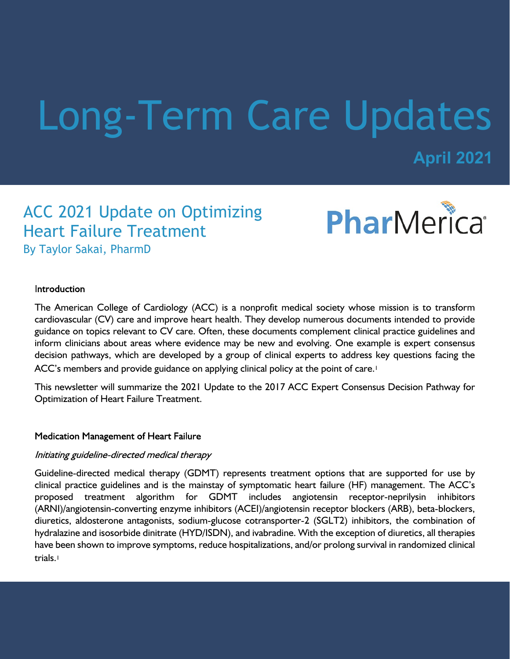# Long-Term Care Updates

**April 2021**

## ACC 2021 Update on Optimizing Heart Failure Treatment By Taylor Sakai, PharmD



#### **Introduction**

The American College of Cardiology (ACC) is a nonprofit medical society whose mission is to transform cardiovascular (CV) care and improve heart health. They develop numerous documents intended to provide guidance on topics relevant to CV care. Often, these documents complement clinical practice guidelines and inform clinicians about areas where evidence may be new and evolving. One example is expert consensus decision pathways, which are developed by a group of clinical experts to address key questions facing the ACC's members and provide guidance on applying clinical policy at the point of care.<sup>1</sup>

This newsletter will summarize the 2021 Update to the 2017 ACC Expert Consensus Decision Pathway for Optimization of Heart Failure Treatment.

#### **Medication Management of Heart Failure**

#### Initiating guideline-directed medical therapy

Guideline-directed medical therapy (GDMT) represents treatment options that are supported for use by clinical practice guidelines and is the mainstay of symptomatic heart failure (HF) management. The ACC's proposed treatment algorithm for GDMT includes angiotensin receptor-neprilysin inhibitors (ARNI)/angiotensin-converting enzyme inhibitors (ACEI)/angiotensin receptor blockers (ARB), beta-blockers, diuretics, aldosterone antagonists, sodium-glucose cotransporter-2 (SGLT2) inhibitors, the combination of hydralazine and isosorbide dinitrate (HYD/ISDN), and ivabradine. With the exception of diuretics, all therapies have been shown to improve symptoms, reduce hospitalizations, and/or prolong survival in randomized clinical trials.<sup>1</sup>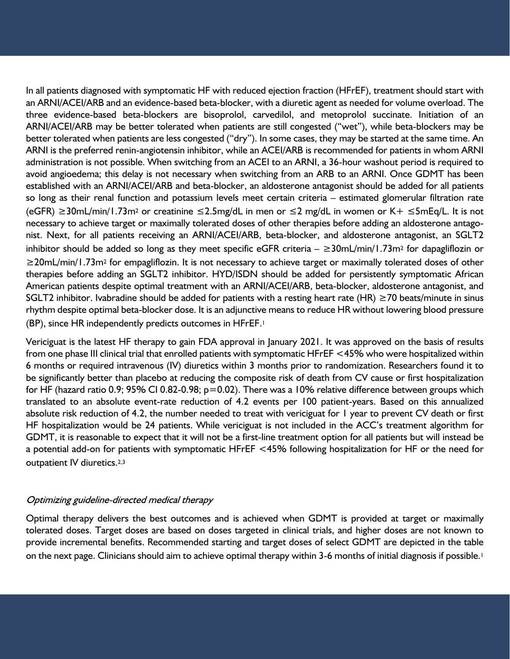In all patients diagnosed with symptomatic HF with reduced ejection fraction (HFrEF), treatment should start with an ARNI/ACEI/ARB and an evidence-based beta-blocker, with a diuretic agent as needed for volume overload. The three evidence-based beta-blockers are bisoprolol, carvedilol, and metoprolol succinate. Initiation of an ARNI/ACEI/ARB may be better tolerated when patients are still congested ("wet"), while beta-blockers may be better tolerated when patients are less congested ("dry"). In some cases, they may be started at the same time. An ARNI is the preferred renin-angiotensin inhibitor, while an ACEI/ARB is recommended for patients in whom ARNI administration is not possible. When switching from an ACEI to an ARNI, a 36-hour washout period is required to avoid angioedema; this delay is not necessary when switching from an ARB to an ARNI. Once GDMT has been established with an ARNI/ACEI/ARB and beta-blocker, an aldosterone antagonist should be added for all patients so long as their renal function and potassium levels meet certain criteria – estimated glomerular filtration rate (eGFR) ≥30mL/min/1.73m2 or creatinine ≤2.5mg/dL in men or ≤2 mg/dL in women or K+ ≤5mEq/L. It is not necessary to achieve target or maximally tolerated doses of other therapies before adding an aldosterone antagonist. Next, for all patients receiving an ARNI/ACEI/ARB, beta-blocker, and aldosterone antagonist, an SGLT2 inhibitor should be added so long as they meet specific eGFR criteria – ≥30mL/min/1.73m2 for dapagliflozin or ≥20mL/min/1.73m2 for empagliflozin. It is not necessary to achieve target or maximally tolerated doses of other therapies before adding an SGLT2 inhibitor. HYD/ISDN should be added for persistently symptomatic African American patients despite optimal treatment with an ARNI/ACEI/ARB, beta-blocker, aldosterone antagonist, and SGLT2 inhibitor. Ivabradine should be added for patients with a resting heart rate (HR)  $\geq$ 70 beats/minute in sinus rhythm despite optimal beta-blocker dose. It is an adjunctive means to reduce HR without lowering blood pressure (BP), since HR independently predicts outcomes in HFrEF.<sup>1</sup>

Vericiguat is the latest HF therapy to gain FDA approval in January 2021. It was approved on the basis of results from one phase III clinical trial that enrolled patients with symptomatic HFrEF <45% who were hospitalized within 6 months or required intravenous (IV) diuretics within 3 months prior to randomization. Researchers found it to be significantly better than placebo at reducing the composite risk of death from CV cause or first hospitalization for HF (hazard ratio 0.9; 95% CI 0.82-0.98; p=0.02). There was a 10% relative difference between groups which translated to an absolute event-rate reduction of 4.2 events per 100 patient-years. Based on this annualized absolute risk reduction of 4.2, the number needed to treat with vericiguat for 1 year to prevent CV death or first HF hospitalization would be 24 patients. While vericiguat is not included in the ACC's treatment algorithm for GDMT, it is reasonable to expect that it will not be a first-line treatment option for all patients but will instead be a potential add-on for patients with symptomatic HFrEF <45% following hospitalization for HF or the need for outpatient IV diuretics.2,3

#### Optimizing guideline-directed medical therapy

Optimal therapy delivers the best outcomes and is achieved when GDMT is provided at target or maximally tolerated doses. Target doses are based on doses targeted in clinical trials, and higher doses are not known to provide incremental benefits. Recommended starting and target doses of select GDMT are depicted in the table on the next page. Clinicians should aim to achieve optimal therapy within 3-6 months of initial diagnosis if possible.1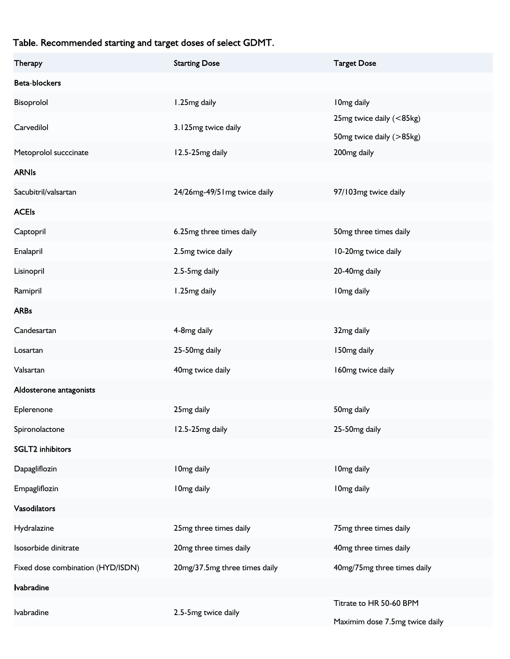### Table. Recommended starting and target doses of select GDMT.

| Therapy                           | <b>Starting Dose</b>          | <b>Target Dose</b>             |
|-----------------------------------|-------------------------------|--------------------------------|
| Beta-blockers                     |                               |                                |
| Bisoprolol                        | 1.25mg daily                  | I 0mg daily                    |
| Carvedilol                        | 3.125mg twice daily           | 25mg twice daily (<85kg)       |
|                                   |                               | 50mg twice daily (>85kg)       |
| Metoprolol succcinate             | 12.5-25mg daily               | 200mg daily                    |
| <b>ARNIs</b>                      |                               |                                |
| Sacubitril/valsartan              | 24/26mg-49/51mg twice daily   | 97/103mg twice daily           |
| <b>ACEIs</b>                      |                               |                                |
| Captopril                         | 6.25mg three times daily      | 50mg three times daily         |
| Enalapril                         | 2.5mg twice daily             | 10-20mg twice daily            |
| Lisinopril                        | 2.5-5mg daily                 | 20-40mg daily                  |
| Ramipril                          | 1.25mg daily                  | I 0mg daily                    |
| <b>ARBs</b>                       |                               |                                |
| Candesartan                       | 4-8mg daily                   | 32mg daily                     |
| Losartan                          | 25-50mg daily                 | 150mg daily                    |
| Valsartan                         | 40mg twice daily              | 160mg twice daily              |
| Aldosterone antagonists           |                               |                                |
| Eplerenone                        | 25mg daily                    | 50 <sub>mg</sub> daily         |
| Spironolactone                    | 12.5-25mg daily               | 25-50mg daily                  |
| <b>SGLT2</b> inhibitors           |                               |                                |
| Dapagliflozin                     | I 0mg daily                   | I 0mg daily                    |
| Empagliflozin                     | I 0mg daily                   | I Omg daily                    |
| Vasodilators                      |                               |                                |
| Hydralazine                       | 25mg three times daily        | 75mg three times daily         |
| Isosorbide dinitrate              | 20mg three times daily        | 40mg three times daily         |
| Fixed dose combination (HYD/ISDN) | 20mg/37.5mg three times daily | 40mg/75mg three times daily    |
| <b>Ivabradine</b>                 |                               |                                |
| lvabradine                        | 2.5-5mg twice daily           | Titrate to HR 50-60 BPM        |
|                                   |                               | Maximim dose 7.5mg twice daily |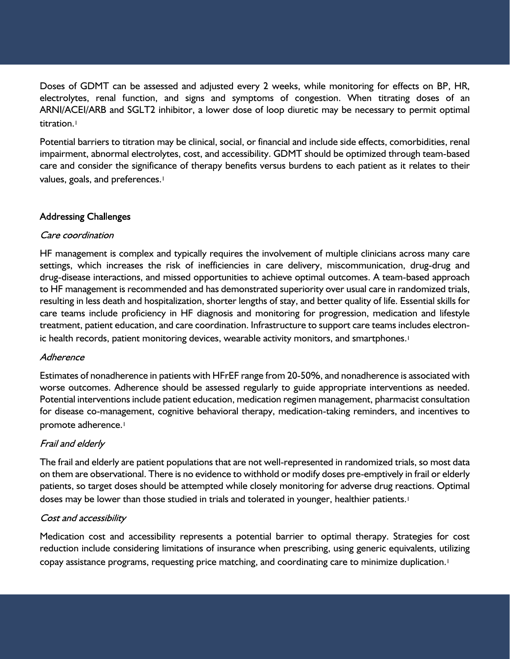Doses of GDMT can be assessed and adjusted every 2 weeks, while monitoring for effects on BP, HR, electrolytes, renal function, and signs and symptoms of congestion. When titrating doses of an ARNI/ACEI/ARB and SGLT2 inhibitor, a lower dose of loop diuretic may be necessary to permit optimal titration.<sup>1</sup>

Potential barriers to titration may be clinical, social, or financial and include side effects, comorbidities, renal impairment, abnormal electrolytes, cost, and accessibility. GDMT should be optimized through team-based care and consider the significance of therapy benefits versus burdens to each patient as it relates to their values, goals, and preferences.<sup>1</sup>

#### **Addressing Challenges**

#### Care coordination

HF management is complex and typically requires the involvement of multiple clinicians across many care settings, which increases the risk of inefficiencies in care delivery, miscommunication, drug-drug and drug-disease interactions, and missed opportunities to achieve optimal outcomes. A team-based approach to HF management is recommended and has demonstrated superiority over usual care in randomized trials, resulting in less death and hospitalization, shorter lengths of stay, and better quality of life. Essential skills for care teams include proficiency in HF diagnosis and monitoring for progression, medication and lifestyle treatment, patient education, and care coordination. Infrastructure to support care teams includes electronic health records, patient monitoring devices, wearable activity monitors, and smartphones.<sup>1</sup>

#### Adherence

Estimates of nonadherence in patients with HFrEF range from 20-50%, and nonadherence is associated with worse outcomes. Adherence should be assessed regularly to guide appropriate interventions as needed. Potential interventions include patient education, medication regimen management, pharmacist consultation for disease co-management, cognitive behavioral therapy, medication-taking reminders, and incentives to promote adherence.<sup>1</sup>

#### Frail and elderly

The frail and elderly are patient populations that are not well-represented in randomized trials, so most data on them are observational. There is no evidence to withhold or modify doses pre-emptively in frail or elderly patients, so target doses should be attempted while closely monitoring for adverse drug reactions. Optimal doses may be lower than those studied in trials and tolerated in younger, healthier patients.<sup>1</sup>

#### Cost and accessibility

Medication cost and accessibility represents a potential barrier to optimal therapy. Strategies for cost reduction include considering limitations of insurance when prescribing, using generic equivalents, utilizing copay assistance programs, requesting price matching, and coordinating care to minimize duplication.1